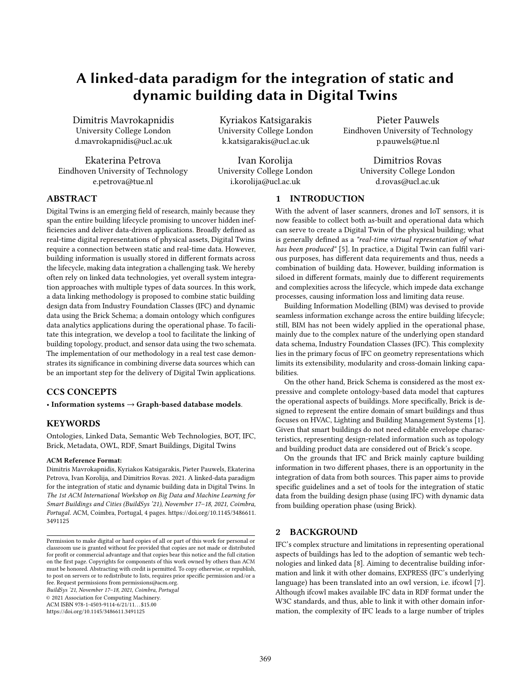# A linked-data paradigm for the integration of static and dynamic building data in Digital Twins

Dimitris Mavrokapnidis University College London d.mavrokapnidis@ucl.ac.uk

Ekaterina Petrova Eindhoven University of Technology e.petrova@tue.nl

Kyriakos Katsigarakis University College London k.katsigarakis@ucl.ac.uk

Ivan Korolija University College London i.korolija@ucl.ac.uk

Pieter Pauwels Eindhoven University of Technology p.pauwels@tue.nl

> Dimitrios Rovas University College London d.rovas@ucl.ac.uk

# ABSTRACT

Digital Twins is an emerging field of research, mainly because they span the entire building lifecycle promising to uncover hidden inefficiencies and deliver data-driven applications. Broadly defined as real-time digital representations of physical assets, Digital Twins require a connection between static and real-time data. However, building information is usually stored in different formats across the lifecycle, making data integration a challenging task. We hereby often rely on linked data technologies, yet overall system integration approaches with multiple types of data sources. In this work, a data linking methodology is proposed to combine static building design data from Industry Foundation Classes (IFC) and dynamic data using the Brick Schema; a domain ontology which configures data analytics applications during the operational phase. To facilitate this integration, we develop a tool to facilitate the linking of building topology, product, and sensor data using the two schemata. The implementation of our methodology in a real test case demonstrates its significance in combining diverse data sources which can be an important step for the delivery of Digital Twin applications.

# CCS CONCEPTS

• Information systems  $\rightarrow$  Graph-based database models.

# **KEYWORDS**

Ontologies, Linked Data, Semantic Web Technologies, BOT, IFC, Brick, Metadata, OWL, RDF, Smart Buildings, Digital Twins

#### ACM Reference Format:

Dimitris Mavrokapnidis, Kyriakos Katsigarakis, Pieter Pauwels, Ekaterina Petrova, Ivan Korolija, and Dimitrios Rovas. 2021. A linked-data paradigm for the integration of static and dynamic building data in Digital Twins. In The 1st ACM International Workshop on Big Data and Machine Learning for Smart Buildings and Cities (BuildSys '21), November 17–18, 2021, Coimbra, Portugal. ACM, Coimbra, Portugal, [4](#page-3-0) pages. [https://doi.org/10.1145/3486611.](https://doi.org/10.1145/3486611.3491125) [3491125](https://doi.org/10.1145/3486611.3491125)

BuildSys '21, November 17–18, 2021, Coimbra, Portugal

© 2021 Association for Computing Machinery.

ACM ISBN 978-1-4503-9114-6/21/11...\$15.00 <https://doi.org/10.1145/3486611.3491125>

1 INTRODUCTION

With the advent of laser scanners, drones and IoT sensors, it is now feasible to collect both as-built and operational data which can serve to create a Digital Twin of the physical building; what is generally defined as a "real-time virtual representation of what has been produced" [\[5\]](#page-3-1). In practice, a Digital Twin can fulfil various purposes, has different data requirements and thus, needs a combination of building data. However, building information is siloed in different formats, mainly due to different requirements and complexities across the lifecycle, which impede data exchange processes, causing information loss and limiting data reuse.

Building Information Modelling (BIM) was devised to provide seamless information exchange across the entire building lifecycle; still, BIM has not been widely applied in the operational phase, mainly due to the complex nature of the underlying open standard data schema, Industry Foundation Classes (IFC). This complexity lies in the primary focus of IFC on geometry representations which limits its extensibility, modularity and cross-domain linking capabilities.

On the other hand, Brick Schema is considered as the most expressive and complete ontology-based data model that captures the operational aspects of buildings. More specifically, Brick is designed to represent the entire domain of smart buildings and thus focuses on HVAC, Lighting and Building Management Systems [\[1\]](#page-3-2). Given that smart buildings do not need editable envelope characteristics, representing design-related information such as topology and building product data are considered out of Brick's scope.

On the grounds that IFC and Brick mainly capture building information in two different phases, there is an opportunity in the integration of data from both sources. This paper aims to provide specific guidelines and a set of tools for the integration of static data from the building design phase (using IFC) with dynamic data from building operation phase (using Brick).

# 2 BACKGROUND

IFC's complex structure and limitations in representing operational aspects of buildings has led to the adoption of semantic web technologies and linked data [\[8\]](#page-3-3). Aiming to decentralise building information and link it with other domains, EXPRESS (IFC's underlying language) has been translated into an owl version, i.e. ifcowl [\[7\]](#page-3-4). Although ifcowl makes available IFC data in RDF format under the W3C standards, and thus, able to link it with other domain information, the complexity of IFC leads to a large number of triples

Permission to make digital or hard copies of all or part of this work for personal or classroom use is granted without fee provided that copies are not made or distributed for profit or commercial advantage and that copies bear this notice and the full citation on the first page. Copyrights for components of this work owned by others than ACM must be honored. Abstracting with credit is permitted. To copy otherwise, or republish, to post on servers or to redistribute to lists, requires prior specific permission and/or a fee. Request permissions from permissions@acm.org.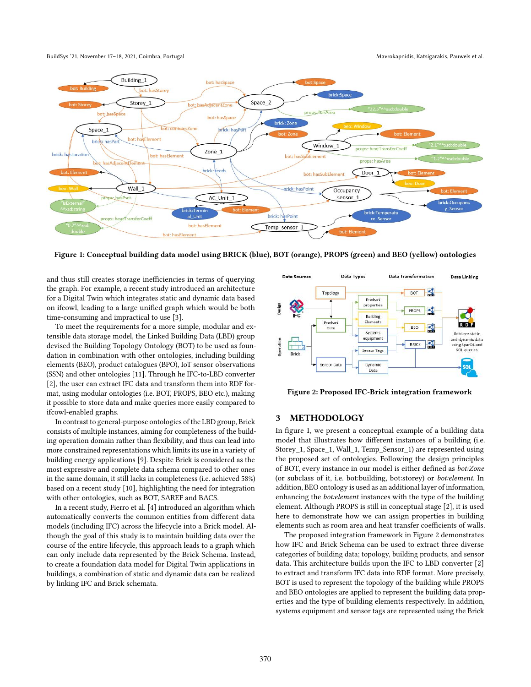#### BuildSys '21, November 17-18, 2021, Coimbra, Portugal Mayrokapnidis, Katsigarakis, Pauwels et al.



Figure 1: Conceptual building data model using BRICK (blue), BOT (orange), PROPS (green) and BEO (yellow) ontologies

and thus still creates storage inefficiencies in terms of querying the graph. For example, a recent study introduced an architecture for a Digital Twin which integrates static and dynamic data based on ifcowl, leading to a large unified graph which would be both time-consuming and impractical to use [\[3\]](#page-3-5).

To meet the requirements for a more simple, modular and extensible data storage model, the Linked Building Data (LBD) group devised the Building Topology Ontology (BOT) to be used as foundation in combination with other ontologies, including building elements (BEO), product catalogues (BPO), IoT sensor observations (SSN) and other ontologies [\[11\]](#page-3-6). Through he IFC-to-LBD converter [\[2\]](#page-3-7), the user can extract IFC data and transform them into RDF format, using modular ontologies (i.e. BOT, PROPS, BEO etc.), making it possible to store data and make queries more easily compared to ifcowl-enabled graphs.

In contrast to general-purpose ontologies of the LBD group, Brick consists of multiple instances, aiming for completeness of the building operation domain rather than flexibility, and thus can lead into more constrained representations which limits its use in a variety of building energy applications [\[9\]](#page-3-8). Despite Brick is considered as the most expressive and complete data schema compared to other ones in the same domain, it still lacks in completeness (i.e. achieved 58%) based on a recent study [\[10\]](#page-3-9), highlighting the need for integration with other ontologies, such as BOT, SAREF and BACS.

In a recent study, Fierro et al. [\[4\]](#page-3-10) introduced an algorithm which automatically converts the common entities from different data models (including IFC) across the lifecycle into a Brick model. Although the goal of this study is to maintain building data over the course of the entire lifecycle, this approach leads to a graph which can only include data represented by the Brick Schema. Instead, to create a foundation data model for Digital Twin applications in buildings, a combination of static and dynamic data can be realized by linking IFC and Brick schemata.



Figure 2: Proposed IFC-Brick integration framework

# 3 METHODOLOGY

In figure 1, we present a conceptual example of a building data model that illustrates how different instances of a building (i.e. Storey\_1, Space\_1, Wall\_1, Temp\_Sensor\_1) are represented using the proposed set of ontologies. Following the design principles of BOT, every instance in our model is either defined as bot:Zone (or subclass of it, i.e. bot:building, bot:storey) or bot:element. In addition, BEO ontology is used as an additional layer of information, enhancing the bot:element instances with the type of the building element. Although PROPS is still in conceptual stage [\[2\]](#page-3-7), it is used here to demonstrate how we can assign properties in building elements such as room area and heat transfer coefficients of walls.

The proposed integration framework in Figure 2 demonstrates how IFC and Brick Schema can be used to extract three diverse categories of building data; topology, building products, and sensor data. This architecture builds upon the IFC to LBD converter [\[2\]](#page-3-7) to extract and transform IFC data into RDF format. More precisely, BOT is used to represent the topology of the building while PROPS and BEO ontologies are applied to represent the building data properties and the type of building elements respectively. In addition, systems equipment and sensor tags are represented using the Brick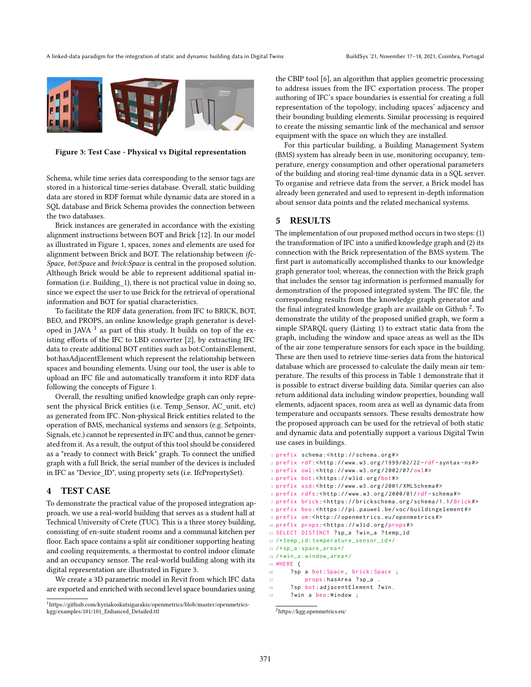

Figure 3: Test Case - Physical vs Digital representation

Schema, while time series data corresponding to the sensor tags are stored in a historical time-series database. Overall, static building data are stored in RDF format while dynamic data are stored in a SQL database and Brick Schema provides the connection between the two databases.

Brick instances are generated in accordance with the existing alignment instructions between BOT and Brick [\[12\]](#page-3-11). In our model as illustrated in Figure 1, spaces, zones and elements are used for alignment between Brick and BOT. The relationship between ifc-Space, bot:Space and brick:Space is central in the proposed solution. Although Brick would be able to represent additional spatial information (i.e. Building\_1), there is not practical value in doing so, since we expect the user to use Brick for the retrieval of operational information and BOT for spatial characteristics.

To facilitate the RDF data generation, from IFC to BRICK, BOT, BEO, and PROPS, an online knowledge graph generator is developed in JAVA  $^1$  $^1$  as part of this study. It builds on top of the existing efforts of the IFC to LBD converter [\[2\]](#page-3-7), by extracting IFC data to create additional BOT entities such as bot:ContainsElement, bot:hasAdjacentElement which represent the relationship between spaces and bounding elements. Using our tool, the user is able to upload an IFC file and automatically transform it into RDF data following the concepts of Figure 1.

Overall, the resulting unified knowledge graph can only represent the physical Brick entities (i.e. Temp\_Sensor, AC\_unit, etc) as generated from IFC. Non-physical Brick entities related to the operation of BMS, mechanical systems and sensors (e.g. Setpoints, Signals, etc.) cannot be represented in IFC and thus, cannot be generated from it. As a result, the output of this tool should be considered as a "ready to connect with Brick" graph. To connect the unified graph with a full Brick, the serial number of the devices is included in IFC as "Device\_ID", using property sets (i.e. IfcPropertySet).

# 4 TEST CASE

To demonstrate the practical value of the proposed integration approach, we use a real-world building that serves as a student hall at Technical University of Crete (TUC). This is a three storey building, consisting of en-suite student rooms and a communal kitchen per floor. Each space contains a split air conditioner supporting heating and cooling requirements, a thermostat to control indoor climate and an occupancy sensor. The real-world building along with its digital representation are illustrated in Figure 3.

We create a 3D parametric model in Revit from which IFC data are exported and enriched with second level space boundaries using the CBIP tool [\[6\]](#page-3-12), an algorithm that applies geometric processing to address issues from the IFC exportation process. The proper authoring of IFC's space boundaries is essential for creating a full representation of the topology, including spaces' adjacency and their bounding building elements. Similar processing is required to create the missing semantic link of the mechanical and sensor equipment with the space on which they are installed.

For this particular building, a Building Management System (BMS) system has already been in use, monitoring occupancy, temperature, energy consumption and other operational parameters of the building and storing real-time dynamic data in a SQL server. To organise and retrieve data from the server, a Brick model has already been generated and used to represent in-depth information about sensor data points and the related mechanical systems.

### 5 RESULTS

The implementation of our proposed method occurs in two steps: (1) the transformation of IFC into a unified knowledge graph and (2) its connection with the Brick representation of the BMS system. The first part is automatically accomplished thanks to our knowledge graph generator tool; whereas, the connection with the Brick graph that includes the sensor tag information is performed manually for demonstration of the proposed integrated system. The IFC file, the corresponding results from the knowledge graph generator and the final integrated knowledge graph are available on Github  $^2$  $^2$ . To demonstrate the utility of the proposed unified graph, we form a simple SPARQL query (Listing 1) to extract static data from the graph, including the window and space areas as well as the IDs of the air zone temperature sensors for each space in the building. These are then used to retrieve time-series data from the historical database which are processed to calculate the daily mean air temperature. The results of this process in Table 1 demonstrate that it is possible to extract diverse building data. Similar queries can also return additional data including window properties, bounding wall elements, adjacent spaces, room area as well as dynamic data from temperature and occupants sensors. These results demostrate how the proposed approach can be used for the retrieval of both static and dynamic data and potentially support a various Digital Twin use cases in buildings.

```
1 prefix schema : < http :// schema . org # >
```

```
2 prefix rdf: < http :// www . w3 . org /1999/02/22 - rdf - syntax - ns # >
```

```
3 prefix owl: < http :// www . w3 . org /2002/07/ owl# >
```

```
4 prefix bot: < https :// w3id . org /bot# >
```

```
5 prefix xsd: < http :// www . w3 . org /2001/ XMLSchema # >
```

```
6 prefix rdfs : < http :// www . w3 . org /2000/01/ rdf - schema #>
```

```
7 prefix brick : < https :// brickschema . org / schema /1.1/ Brick # >
```

```
8 prefix beo: < https :// pi . pauwel . be / voc / buildingelement # >
```
- 9 prefix om: < http :// openmetrics . eu / openmetrics # >
- 10 prefix props : < https :// w3id . org / props # >
- 11 SELECT DISTINCT ? sp\_a ? win\_a ? temp\_id
- 12 /\* temp\_id : temperature\_sensor\_id \*/

```
13 /* sp_a : space_area */
14 /* win_a : window_area */
```

```
15 WHERE {
```
16 ? sp a bot:Space , brick : Space ;

```
17 props : hasArea ? sp_a .
```
- 18 ? sp bot: adjacentElement ? win .
- 19 ? win a beo: Window ;

<span id="page-2-0"></span><sup>1</sup>https://github.com/kyriakoskatsigarakis/openmetrics/blob/master/openmetricskgg/examples/101/101\_Enhanced\_Detailed.ttl

<span id="page-2-1"></span><sup>2</sup>https://kgg.openmetrics.eu/